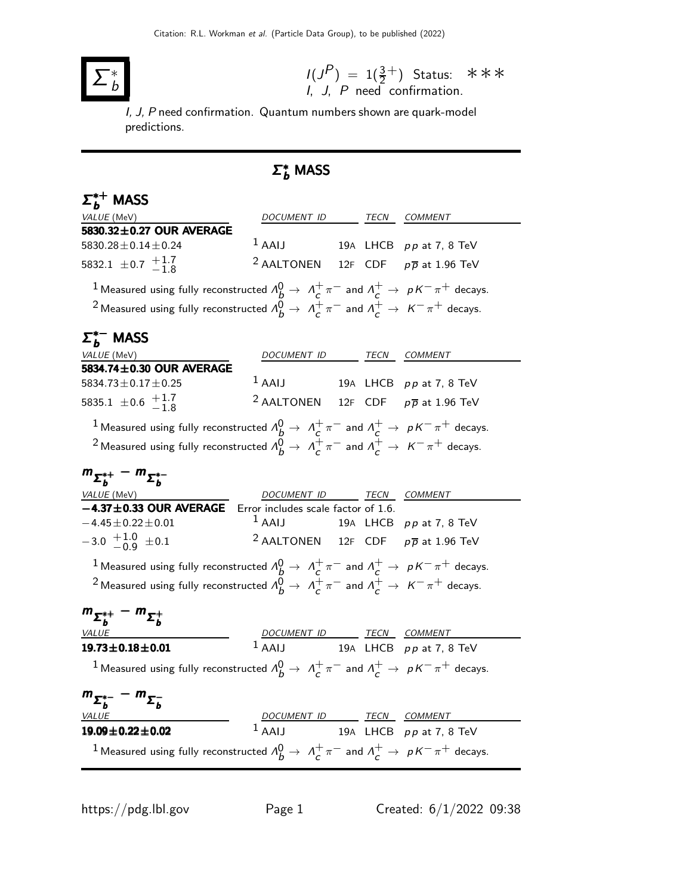

 $I(J^P) = 1(\frac{3}{2}^+)$ I, J, P need confirmation. Status: ∗∗∗

I, J, P need confirmation. Quantum numbers shown are quark-model predictions.

## $\Sigma_b^*$  MASS

| $\Sigma_h^{*+}$ MASS                                                                                                         |                                                            |  |                           |
|------------------------------------------------------------------------------------------------------------------------------|------------------------------------------------------------|--|---------------------------|
| VALUE (MeV)                                                                                                                  | DOCUMENT ID TECN COMMENT                                   |  |                           |
| 5830.32±0.27 OUR AVERAGE                                                                                                     |                                                            |  |                           |
| $5830.28 \pm 0.14 \pm 0.24$                                                                                                  | $1$ AAIJ                                                   |  | 19A LHCB $pp$ at 7, 8 TeV |
| 5832.1 $\pm$ 0.7 $\frac{+1.7}{-1.8}$                                                                                         | <sup>2</sup> AALTONEN 12F CDF $p\overline{p}$ at 1.96 TeV  |  |                           |
| <sup>1</sup> Measured using fully reconstructed $\Lambda_b^0 \to \Lambda_c^+ \pi^-$ and $\Lambda_c^+ \to pK^-\pi^+$ decays.  |                                                            |  |                           |
| <sup>2</sup> Measured using fully reconstructed $A_B^0 \rightarrow A_C^+ \pi^-$ and $A_C^+ \rightarrow K^- \pi^+$ decays.    |                                                            |  |                           |
| $\Sigma_b^{*-}$ MASS                                                                                                         |                                                            |  |                           |
| VALUE (MeV)                                                                                                                  | DOCUMENT ID TECN COMMENT                                   |  |                           |
| 5834.74±0.30 OUR AVERAGE                                                                                                     |                                                            |  |                           |
| 5834.73 $\pm$ 0.17 $\pm$ 0.25                                                                                                | $1$ AAIJ                                                   |  | 19A LHCB $pp$ at 7, 8 TeV |
| 5835.1 $\pm$ 0.6 $\frac{+1.7}{-1.8}$                                                                                         | <sup>2</sup> AALTONEN 12F CDF $p\overline{p}$ at 1.96 TeV  |  |                           |
| <sup>1</sup> Measured using fully reconstructed $\Lambda_b^0 \to \Lambda_c^+ \pi^-$ and $\Lambda_c^+ \to pK^-\pi^+$ decays.  |                                                            |  |                           |
| <sup>2</sup> Measured using fully reconstructed $A_b^0 \rightarrow A_c^+ \pi^-$ and $A_c^+ \rightarrow K^- \pi^+$ decays.    |                                                            |  |                           |
| $m_{\Sigma_h^{*+}} - m_{\Sigma_h^{*-}}$                                                                                      |                                                            |  |                           |
|                                                                                                                              | DOCUMENT ID TECN COMMENT                                   |  |                           |
| $\frac{\textit{VALUE (MeV)}}{-4.37 \pm 0.33}$ OUR AVERAGE                                                                    | Error includes scale factor of 1.6.                        |  |                           |
| $-4.45 \pm 0.22 \pm 0.01$                                                                                                    | $1$ AAIJ                                                   |  | 19A LHCB $pp$ at 7, 8 TeV |
| $-3.0$ $+1.0$ $\pm 0.1$                                                                                                      | <sup>2</sup> AALTONEN 12F CDF $p\overline{p}$ at 1.96 TeV  |  |                           |
| <sup>1</sup> Measured using fully reconstructed $\Lambda_b^0 \to \Lambda_c^+ \pi^-$ and $\Lambda_c^+ \to pK^-\pi^+$ decays.  |                                                            |  |                           |
| <sup>2</sup> Measured using fully reconstructed $\Lambda_b^0 \to \Lambda_c^+ \pi^-$ and $\Lambda_c^+ \to K^- \pi^+$ decays.  |                                                            |  |                           |
| $m_{\Sigma_h^{*+}} - m_{\Sigma_h^{+}}$                                                                                       |                                                            |  |                           |
| <b>VALUE</b>                                                                                                                 |                                                            |  |                           |
| $19.73 \pm 0.18 \pm 0.01$                                                                                                    | DOCUMENT ID TECN COMMENT<br>1 AAIJ 19A LHCB pp at 7, 8 TeV |  |                           |
| <sup>1</sup> Measured using fully reconstructed $\Lambda_b^0 \to \Lambda_c^+ \pi^-$ and $\Lambda_c^+ \to pK^- \pi^+$ decays. |                                                            |  |                           |
|                                                                                                                              |                                                            |  |                           |
| $m_{\Sigma_b^{*-}} - m_{\Sigma_b^{-}}$<br><b>VALUE</b>                                                                       |                                                            |  |                           |
| $19.09 \pm 0.22 \pm 0.02$                                                                                                    | DOCUMENT ID TECN COMMENT<br>1 AAIJ 19A LHCB pp at 7, 8 TeV |  |                           |
| <sup>1</sup> Measured using fully reconstructed $\Lambda_b^0 \to \Lambda_c^+ \pi^-$ and $\Lambda_c^+ \to pK^-\pi^+$ decays.  |                                                            |  |                           |